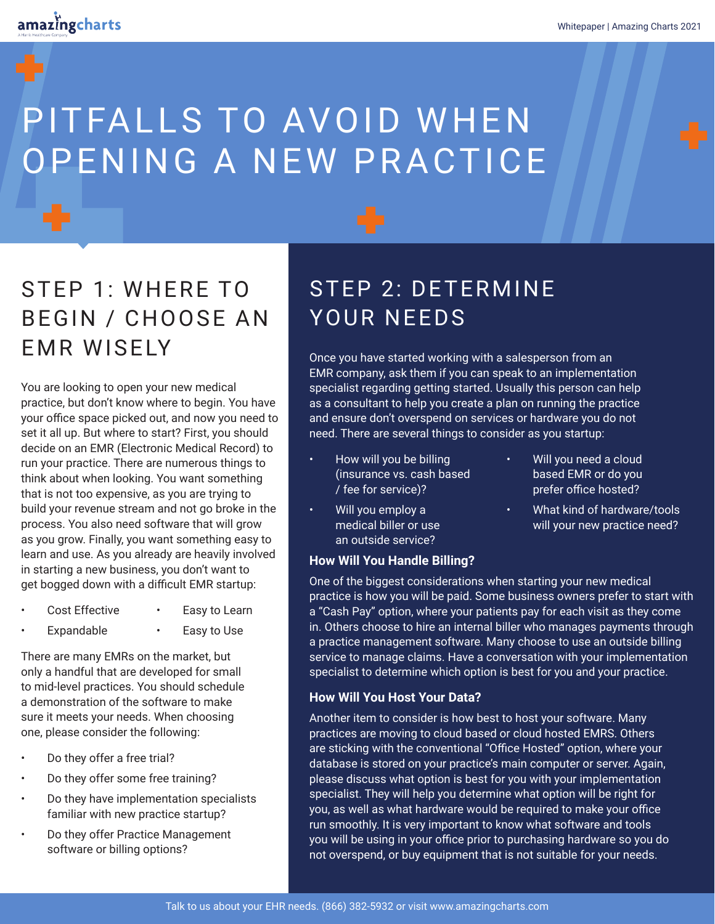# PITFALLS TO AVOID WHEN OPENING A NEW PRACTICE

### STEP 1: WHERE TO BEGIN / CHOOSE AN EMR WISELY

You are looking to open your new medical practice, but don't know where to begin. You have your office space picked out, and now you need to set it all up. But where to start? First, you should decide on an EMR (Electronic Medical Record) to run your practice. There are numerous things to think about when looking. You want something that is not too expensive, as you are trying to build your revenue stream and not go broke in the process. You also need software that will grow as you grow. Finally, you want something easy to learn and use. As you already are heavily involved in starting a new business, you don't want to get bogged down with a difficult EMR startup:

- Cost Effective Easy to Learn
- Expandable • Easy to Use

There are many EMRs on the market, but only a handful that are developed for small to mid-level practices. You should schedule a demonstration of the software to make sure it meets your needs. When choosing one, please consider the following:

- Do they offer a free trial?
- Do they offer some free training?
- Do they have implementation specialists familiar with new practice startup?
- Do they offer Practice Management software or billing options?

### STEP 2: DETERMINE YOUR NEEDS

Once you have started working with a salesperson from an EMR company, ask them if you can speak to an implementation specialist regarding getting started. Usually this person can help as a consultant to help you create a plan on running the practice and ensure don't overspend on services or hardware you do not need. There are several things to consider as you startup:

- How will you be billing (insurance vs. cash based / fee for service)?
- Will you employ a medical biller or use an outside service?
- **How Will You Handle Billing?**
- Will you need a cloud based EMR or do you prefer office hosted?
- What kind of hardware/tools will your new practice need?

One of the biggest considerations when starting your new medical practice is how you will be paid. Some business owners prefer to start with a "Cash Pay" option, where your patients pay for each visit as they come in. Others choose to hire an internal biller who manages payments through a practice management software. Many choose to use an outside billing service to manage claims. Have a conversation with your implementation specialist to determine which option is best for you and your practice.

#### **How Will You Host Your Data?**

Another item to consider is how best to host your software. Many practices are moving to cloud based or cloud hosted EMRS. Others are sticking with the conventional "Office Hosted" option, where your database is stored on your practice's main computer or server. Again, please discuss what option is best for you with your implementation specialist. They will help you determine what option will be right for you, as well as what hardware would be required to make your office run smoothly. It is very important to know what software and tools you will be using in your office prior to purchasing hardware so you do not overspend, or buy equipment that is not suitable for your needs.